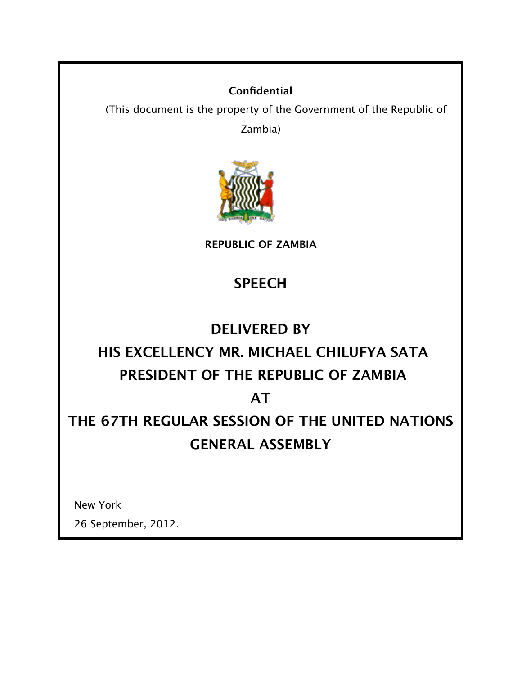#### **Confidential**

(This document is the property of the Government of the Republic of

Zambia)



**REPUBLIC OF ZAMBIA**

### **SPEECH**

### **DELIVERED BY**

# **HIS EXCELLENCY MR. MICHAEL CHILUFYA SATA PRESIDENT OF THE REPUBLIC OF ZAMBIA**

### **AT**

## **THE 67TH REGULAR SESSION OF THE UNITED NATIONS GENERAL ASSEMBLY**

New York

26 September, 2012.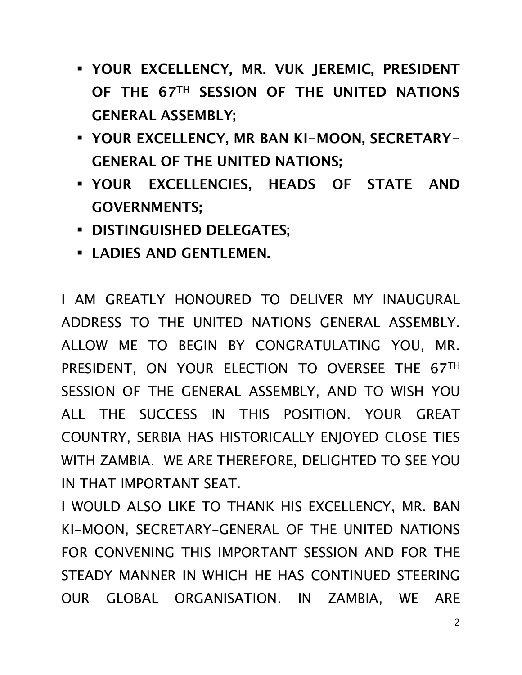- **YOUR EXCELLENCY, MR. VUK JEREMIC, PRESIDENT OF THE 67TH SESSION OF THE UNITED NATIONS GENERAL ASSEMBLY;**
- **YOUR EXCELLENCY, MR BAN KI-MOON, SECRETARY-GENERAL OF THE UNITED NATIONS;**
- **YOUR EXCELLENCIES, HEADS OF STATE AND GOVERNMENTS;**
- **DISTINGUISHED DELEGATES;**
- **LADIES AND GENTLEMEN.**

I AM GREATLY HONOURED TO DELIVER MY INAUGURAL ADDRESS TO THE UNITED NATIONS GENERAL ASSEMBLY. ALLOW ME TO BEGIN BY CONGRATULATING YOU, MR. PRESIDENT, ON YOUR ELECTION TO OVERSEE THE 67TH SESSION OF THE GENERAL ASSEMBLY, AND TO WISH YOU ALL THE SUCCESS IN THIS POSITION. YOUR GREAT COUNTRY, SERBIA HAS HISTORICALLY ENJOYED CLOSE TIES WITH ZAMBIA. WE ARE THEREFORE, DELIGHTED TO SEE YOU IN THAT IMPORTANT SEAT.

I WOULD ALSO LIKE TO THANK HIS EXCELLENCY, MR. BAN KI-MOON, SECRETARY-GENERAL OF THE UNITED NATIONS FOR CONVENING THIS IMPORTANT SESSION AND FOR THE STEADY MANNER IN WHICH HE HAS CONTINUED STEERING OUR GLOBAL ORGANISATION. IN ZAMBIA, WE ARE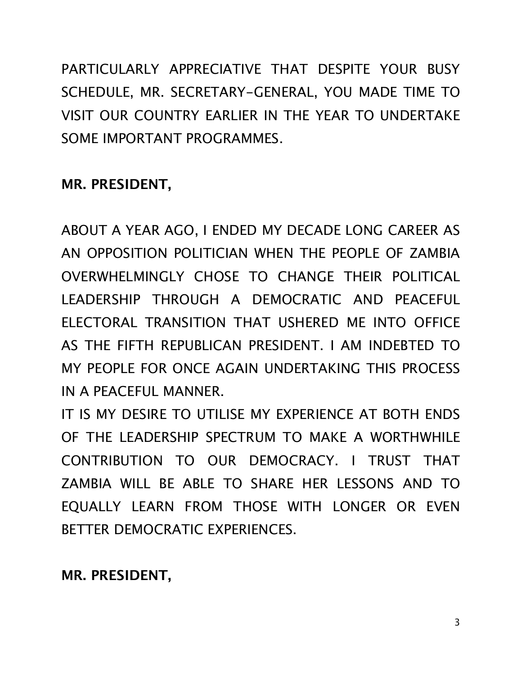PARTICULARLY APPRECIATIVE THAT DESPITE YOUR BUSY SCHEDULE, MR. SECRETARY-GENERAL, YOU MADE TIME TO VISIT OUR COUNTRY EARLIER IN THE YEAR TO UNDERTAKE SOME IMPORTANT PROGRAMMES.

### **MR. PRESIDENT,**

ABOUT A YEAR AGO, I ENDED MY DECADE LONG CAREER AS AN OPPOSITION POLITICIAN WHEN THE PEOPLE OF ZAMBIA OVERWHELMINGLY CHOSE TO CHANGE THEIR POLITICAL LEADERSHIP THROUGH A DEMOCRATIC AND PEACEFUL ELECTORAL TRANSITION THAT USHERED ME INTO OFFICE AS THE FIFTH REPUBLICAN PRESIDENT. I AM INDEBTED TO MY PEOPLE FOR ONCE AGAIN UNDERTAKING THIS PROCESS IN A PEACEFUL MANNER.

IT IS MY DESIRE TO UTILISE MY EXPERIENCE AT BOTH ENDS OF THE LEADERSHIP SPECTRUM TO MAKE A WORTHWHILE CONTRIBUTION TO OUR DEMOCRACY. I TRUST THAT ZAMBIA WILL BE ABLE TO SHARE HER LESSONS AND TO EQUALLY LEARN FROM THOSE WITH LONGER OR EVEN BETTER DEMOCRATIC EXPERIENCES.

**MR. PRESIDENT,**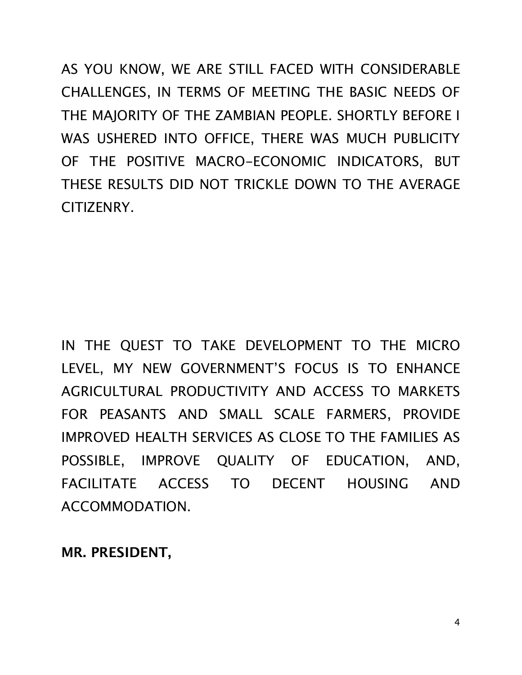AS YOU KNOW, WE ARE STILL FACED WITH CONSIDERABLE CHALLENGES, IN TERMS OF MEETING THE BASIC NEEDS OF THE MAJORITY OF THE ZAMBIAN PEOPLE. SHORTLY BEFORE I WAS USHERED INTO OFFICE, THERE WAS MUCH PUBLICITY OF THE POSITIVE MACRO-ECONOMIC INDICATORS, BUT THESE RESULTS DID NOT TRICKLE DOWN TO THE AVERAGE CITIZENRY.

IN THE QUEST TO TAKE DEVELOPMENT TO THE MICRO LEVEL, MY NEW GOVERNMENT'S FOCUS IS TO ENHANCE AGRICULTURAL PRODUCTIVITY AND ACCESS TO MARKETS FOR PEASANTS AND SMALL SCALE FARMERS, PROVIDE IMPROVED HEALTH SERVICES AS CLOSE TO THE FAMILIES AS POSSIBLE, IMPROVE QUALITY OF EDUCATION, AND, FACILITATE ACCESS TO DECENT HOUSING AND ACCOMMODATION.

**MR. PRESIDENT,**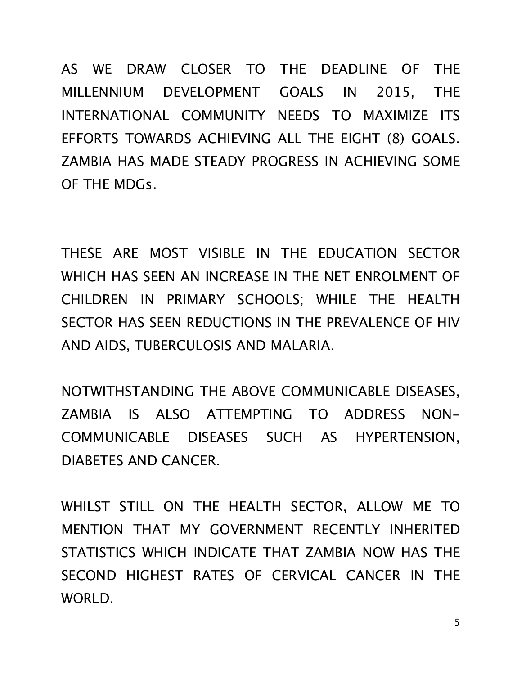AS WE DRAW CLOSER TO THE DEADLINE OF THE MILLENNIUM DEVELOPMENT GOALS IN 2015, THE INTERNATIONAL COMMUNITY NEEDS TO MAXIMIZE ITS EFFORTS TOWARDS ACHIEVING ALL THE EIGHT (8) GOALS. ZAMBIA HAS MADE STEADY PROGRESS IN ACHIEVING SOME OF THE MDGs.

THESE ARE MOST VISIBLE IN THE EDUCATION SECTOR WHICH HAS SEEN AN INCREASE IN THE NET ENROLMENT OF CHILDREN IN PRIMARY SCHOOLS; WHILE THE HEALTH SECTOR HAS SEEN REDUCTIONS IN THE PREVALENCE OF HIV AND AIDS, TUBERCULOSIS AND MALARIA.

NOTWITHSTANDING THE ABOVE COMMUNICABLE DISEASES, ZAMBIA IS ALSO ATTEMPTING TO ADDRESS NON-COMMUNICABLE DISEASES SUCH AS HYPERTENSION, DIABETES AND CANCER.

WHILST STILL ON THE HEALTH SECTOR, ALLOW ME TO MENTION THAT MY GOVERNMENT RECENTLY INHERITED STATISTICS WHICH INDICATE THAT ZAMBIA NOW HAS THE SECOND HIGHEST RATES OF CERVICAL CANCER IN THE WORLD.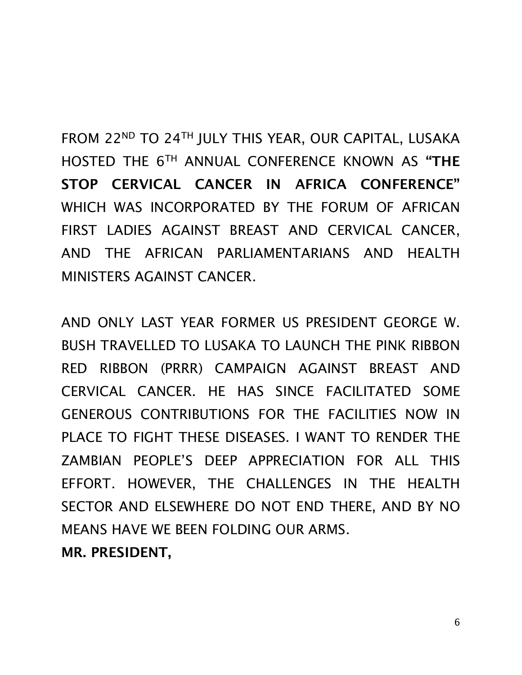FROM 22ND TO 24TH JULY THIS YEAR, OUR CAPITAL, LUSAKA HOSTED THE 6TH ANNUAL CONFERENCE KNOWN AS **"THE STOP CERVICAL CANCER IN AFRICA CONFERENCE"** WHICH WAS INCORPORATED BY THE FORUM OF AFRICAN FIRST LADIES AGAINST BREAST AND CERVICAL CANCER, AND THE AFRICAN PARLIAMENTARIANS AND HEALTH MINISTERS AGAINST CANCER.

AND ONLY LAST YEAR FORMER US PRESIDENT GEORGE W. BUSH TRAVELLED TO LUSAKA TO LAUNCH THE PINK RIBBON RED RIBBON (PRRR) CAMPAIGN AGAINST BREAST AND CERVICAL CANCER. HE HAS SINCE FACILITATED SOME GENEROUS CONTRIBUTIONS FOR THE FACILITIES NOW IN PLACE TO FIGHT THESE DISEASES. I WANT TO RENDER THE ZAMBIAN PEOPLE'S DEEP APPRECIATION FOR ALL THIS EFFORT. HOWEVER, THE CHALLENGES IN THE HEALTH SECTOR AND ELSEWHERE DO NOT END THERE, AND BY NO MEANS HAVE WE BEEN FOLDING OUR ARMS.

**MR. PRESIDENT,**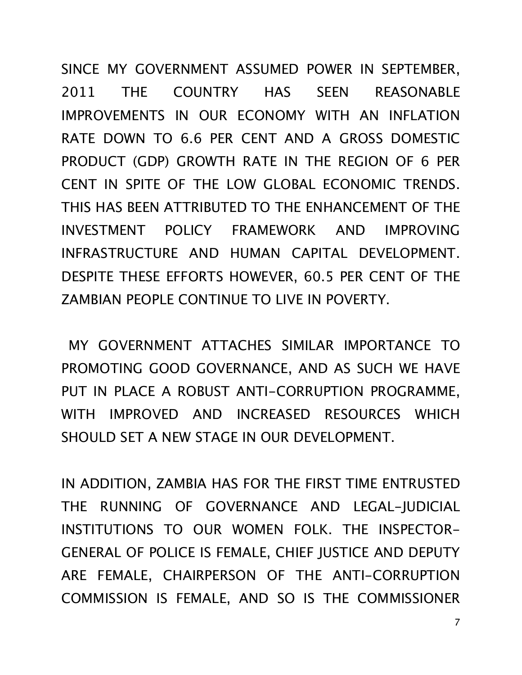SINCE MY GOVERNMENT ASSUMED POWER IN SEPTEMBER, 2011 THE COUNTRY HAS SEEN REASONABLE IMPROVEMENTS IN OUR ECONOMY WITH AN INFLATION RATE DOWN TO 6.6 PER CENT AND A GROSS DOMESTIC PRODUCT (GDP) GROWTH RATE IN THE REGION OF 6 PER CENT IN SPITE OF THE LOW GLOBAL ECONOMIC TRENDS. THIS HAS BEEN ATTRIBUTED TO THE ENHANCEMENT OF THE INVESTMENT POLICY FRAMEWORK AND IMPROVING INFRASTRUCTURE AND HUMAN CAPITAL DEVELOPMENT. DESPITE THESE EFFORTS HOWEVER, 60.5 PER CENT OF THE ZAMBIAN PEOPLE CONTINUE TO LIVE IN POVERTY.

 MY GOVERNMENT ATTACHES SIMILAR IMPORTANCE TO PROMOTING GOOD GOVERNANCE, AND AS SUCH WE HAVE PUT IN PLACE A ROBUST ANTI-CORRUPTION PROGRAMME, WITH IMPROVED AND INCREASED RESOURCES WHICH SHOULD SET A NEW STAGE IN OUR DEVELOPMENT.

IN ADDITION, ZAMBIA HAS FOR THE FIRST TIME ENTRUSTED THE RUNNING OF GOVERNANCE AND LEGAL-JUDICIAL INSTITUTIONS TO OUR WOMEN FOLK. THE INSPECTOR-GENERAL OF POLICE IS FEMALE, CHIEF JUSTICE AND DEPUTY ARE FEMALE, CHAIRPERSON OF THE ANTI-CORRUPTION COMMISSION IS FEMALE, AND SO IS THE COMMISSIONER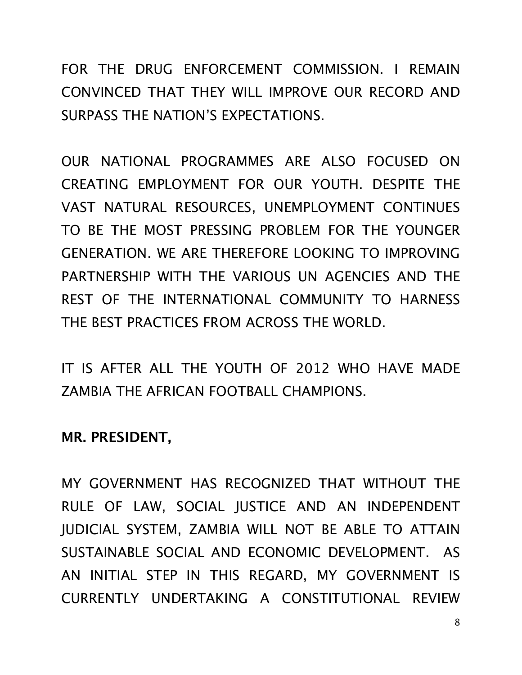FOR THE DRUG ENFORCEMENT COMMISSION. I REMAIN CONVINCED THAT THEY WILL IMPROVE OUR RECORD AND SURPASS THE NATION'S EXPECTATIONS.

OUR NATIONAL PROGRAMMES ARE ALSO FOCUSED ON CREATING EMPLOYMENT FOR OUR YOUTH. DESPITE THE VAST NATURAL RESOURCES, UNEMPLOYMENT CONTINUES TO BE THE MOST PRESSING PROBLEM FOR THE YOUNGER GENERATION. WE ARE THEREFORE LOOKING TO IMPROVING PARTNERSHIP WITH THE VARIOUS UN AGENCIES AND THE REST OF THE INTERNATIONAL COMMUNITY TO HARNESS THE BEST PRACTICES FROM ACROSS THE WORLD.

IT IS AFTER ALL THE YOUTH OF 2012 WHO HAVE MADE ZAMBIA THE AFRICAN FOOTBALL CHAMPIONS.

**MR. PRESIDENT,**

MY GOVERNMENT HAS RECOGNIZED THAT WITHOUT THE RULE OF LAW, SOCIAL JUSTICE AND AN INDEPENDENT JUDICIAL SYSTEM, ZAMBIA WILL NOT BE ABLE TO ATTAIN SUSTAINABLE SOCIAL AND ECONOMIC DEVELOPMENT. AS AN INITIAL STEP IN THIS REGARD, MY GOVERNMENT IS CURRENTLY UNDERTAKING A CONSTITUTIONAL REVIEW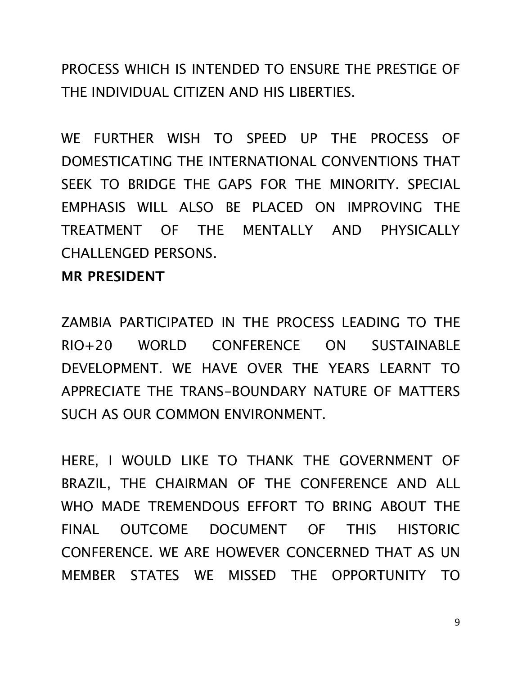PROCESS WHICH IS INTENDED TO ENSURE THE PRESTIGE OF THE INDIVIDUAL CITIZEN AND HIS LIBERTIES.

WE FURTHER WISH TO SPEED UP THE PROCESS OF DOMESTICATING THE INTERNATIONAL CONVENTIONS THAT SEEK TO BRIDGE THE GAPS FOR THE MINORITY. SPECIAL EMPHASIS WILL ALSO BE PLACED ON IMPROVING THE TREATMENT OF THE MENTALLY AND PHYSICALLY CHALLENGED PERSONS.

#### **MR PRESIDENT**

ZAMBIA PARTICIPATED IN THE PROCESS LEADING TO THE RIO+20 WORLD CONFERENCE ON SUSTAINABLE DEVELOPMENT. WE HAVE OVER THE YEARS LEARNT TO APPRECIATE THE TRANS-BOUNDARY NATURE OF MATTERS SUCH AS OUR COMMON ENVIRONMENT.

HERE, I WOULD LIKE TO THANK THE GOVERNMENT OF BRAZIL, THE CHAIRMAN OF THE CONFERENCE AND ALL WHO MADE TREMENDOUS EFFORT TO BRING ABOUT THE FINAL OUTCOME DOCUMENT OF THIS HISTORIC CONFERENCE. WE ARE HOWEVER CONCERNED THAT AS UN MEMBER STATES WE MISSED THE OPPORTUNITY TO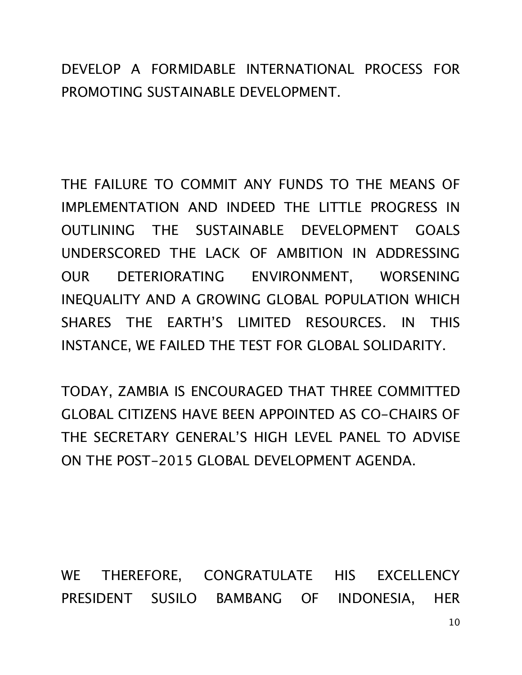DEVELOP A FORMIDABLE INTERNATIONAL PROCESS FOR PROMOTING SUSTAINABLE DEVELOPMENT.

THE FAILURE TO COMMIT ANY FUNDS TO THE MEANS OF IMPLEMENTATION AND INDEED THE LITTLE PROGRESS IN OUTLINING THE SUSTAINABLE DEVELOPMENT GOALS UNDERSCORED THE LACK OF AMBITION IN ADDRESSING OUR DETERIORATING ENVIRONMENT, WORSENING INEQUALITY AND A GROWING GLOBAL POPULATION WHICH SHARES THE EARTH'S LIMITED RESOURCES. IN THIS INSTANCE, WE FAILED THE TEST FOR GLOBAL SOLIDARITY.

TODAY, ZAMBIA IS ENCOURAGED THAT THREE COMMITTED GLOBAL CITIZENS HAVE BEEN APPOINTED AS CO-CHAIRS OF THE SECRETARY GENERAL'S HIGH LEVEL PANEL TO ADVISE ON THE POST-2015 GLOBAL DEVELOPMENT AGENDA.

WE THEREFORE, CONGRATULATE HIS EXCELLENCY PRESIDENT SUSILO BAMBANG OF INDONESIA, HER

10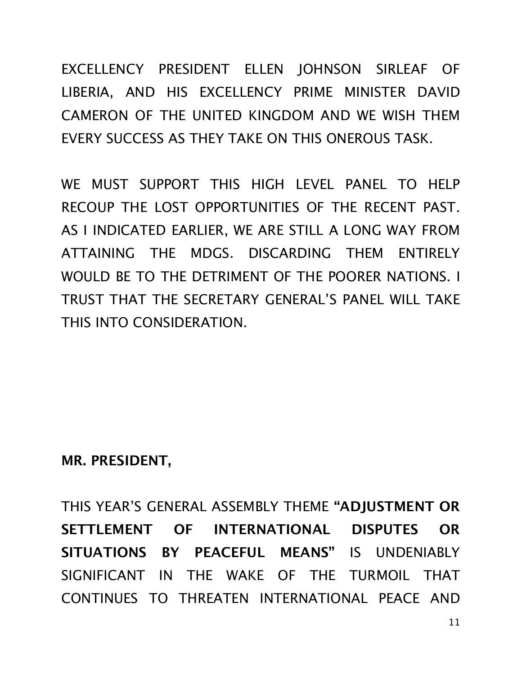EXCELLENCY PRESIDENT ELLEN JOHNSON SIRLEAF OF LIBERIA, AND HIS EXCELLENCY PRIME MINISTER DAVID CAMERON OF THE UNITED KINGDOM AND WE WISH THEM EVERY SUCCESS AS THEY TAKE ON THIS ONEROUS TASK.

WE MUST SUPPORT THIS HIGH LEVEL PANEL TO HELP RECOUP THE LOST OPPORTUNITIES OF THE RECENT PAST. AS I INDICATED EARLIER, WE ARE STILL A LONG WAY FROM ATTAINING THE MDGS. DISCARDING THEM ENTIRELY WOULD BE TO THE DETRIMENT OF THE POORER NATIONS. I TRUST THAT THE SECRETARY GENERAL'S PANEL WILL TAKE THIS INTO CONSIDERATION.

### **MR. PRESIDENT,**

THIS YEAR'S GENERAL ASSEMBLY THEME **"ADJUSTMENT OR SETTLEMENT OF INTERNATIONAL DISPUTES OR SITUATIONS BY PEACEFUL MEANS"** IS UNDENIABLY SIGNIFICANT IN THE WAKE OF THE TURMOIL THAT CONTINUES TO THREATEN INTERNATIONAL PEACE AND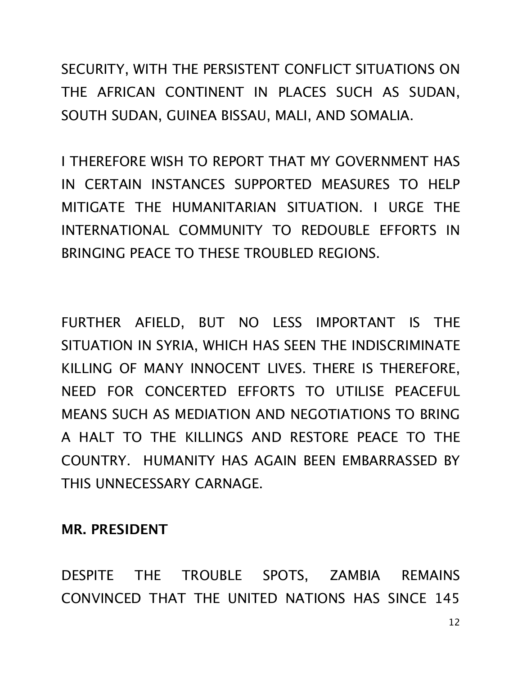SECURITY, WITH THE PERSISTENT CONFLICT SITUATIONS ON THE AFRICAN CONTINENT IN PLACES SUCH AS SUDAN, SOUTH SUDAN, GUINEA BISSAU, MALI, AND SOMALIA.

I THEREFORE WISH TO REPORT THAT MY GOVERNMENT HAS IN CERTAIN INSTANCES SUPPORTED MEASURES TO HELP MITIGATE THE HUMANITARIAN SITUATION. I URGE THE INTERNATIONAL COMMUNITY TO REDOUBLE EFFORTS IN BRINGING PEACE TO THESE TROUBLED REGIONS.

FURTHER AFIELD, BUT NO LESS IMPORTANT IS THE SITUATION IN SYRIA, WHICH HAS SEEN THE INDISCRIMINATE KILLING OF MANY INNOCENT LIVES. THERE IS THEREFORE, NEED FOR CONCERTED EFFORTS TO UTILISE PEACEFUL MEANS SUCH AS MEDIATION AND NEGOTIATIONS TO BRING A HALT TO THE KILLINGS AND RESTORE PEACE TO THE COUNTRY. HUMANITY HAS AGAIN BEEN EMBARRASSED BY THIS UNNECESSARY CARNAGE.

### **MR. PRESIDENT**

DESPITE THE TROUBLE SPOTS, ZAMBIA REMAINS CONVINCED THAT THE UNITED NATIONS HAS SINCE 145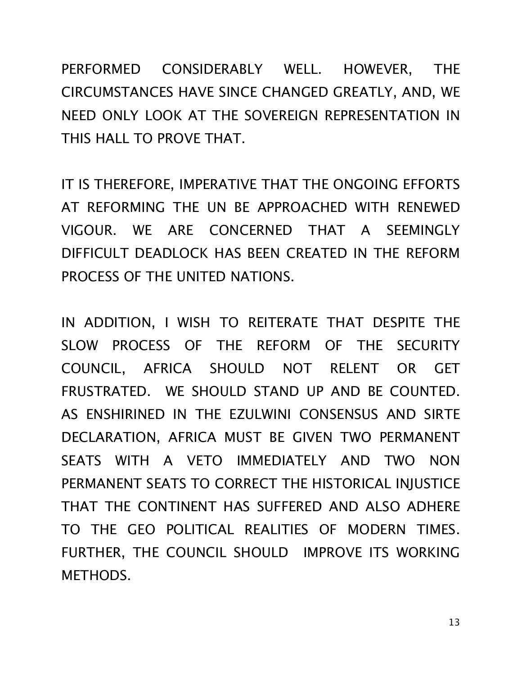PERFORMED CONSIDERABLY WELL. HOWEVER, THE CIRCUMSTANCES HAVE SINCE CHANGED GREATLY, AND, WE NEED ONLY LOOK AT THE SOVEREIGN REPRESENTATION IN THIS HALL TO PROVE THAT.

IT IS THEREFORE, IMPERATIVE THAT THE ONGOING EFFORTS AT REFORMING THE UN BE APPROACHED WITH RENEWED VIGOUR. WE ARE CONCERNED THAT A SEEMINGLY DIFFICULT DEADLOCK HAS BEEN CREATED IN THE REFORM PROCESS OF THE UNITED NATIONS.

IN ADDITION, I WISH TO REITERATE THAT DESPITE THE SLOW PROCESS OF THE REFORM OF THE SECURITY COUNCIL, AFRICA SHOULD NOT RELENT OR GET FRUSTRATED. WE SHOULD STAND UP AND BE COUNTED. AS ENSHIRINED IN THE EZULWINI CONSENSUS AND SIRTE DECLARATION, AFRICA MUST BE GIVEN TWO PERMANENT SEATS WITH A VETO IMMEDIATELY AND TWO NON PERMANENT SEATS TO CORRECT THE HISTORICAL INJUSTICE THAT THE CONTINENT HAS SUFFERED AND ALSO ADHERE TO THE GEO POLITICAL REALITIES OF MODERN TIMES. FURTHER, THE COUNCIL SHOULD IMPROVE ITS WORKING METHODS.